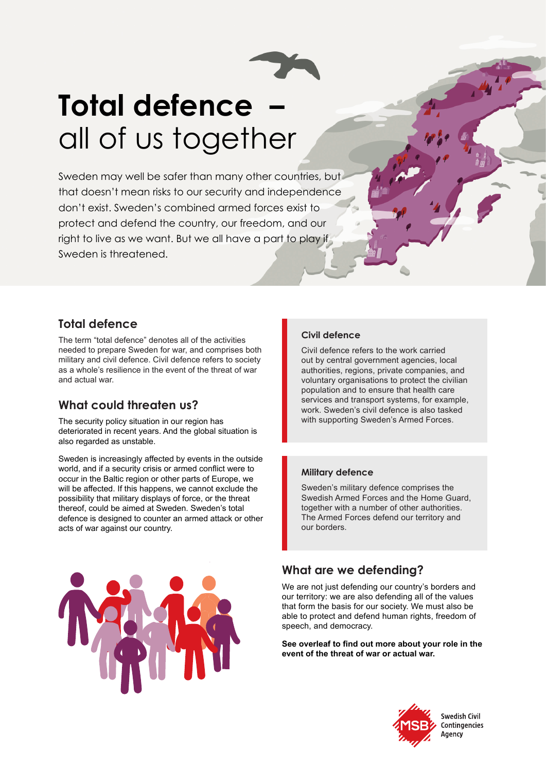

# **Total defence –**  all of us together

Sweden may well be safer than many other countries, but that doesn't mean risks to our security and independence don't exist. Sweden's combined armed forces exist to protect and defend the country, our freedom, and our right to live as we want. But we all have a part to play if Sweden is threatened.

#### **Total defence**

The term "total defence" denotes all of the activities needed to prepare Sweden for war, and comprises both military and civil defence. Civil defence refers to society as a whole's resilience in the event of the threat of war and actual war.

## **What could threaten us?**

The security policy situation in our region has deteriorated in recent years. And the global situation is also regarded as unstable.

Sweden is increasingly affected by events in the outside world, and if a security crisis or armed conflict were to occur in the Baltic region or other parts of Europe, we will be affected. If this happens, we cannot exclude the possibility that military displays of force, or the threat thereof, could be aimed at Sweden. Sweden's total defence is designed to counter an armed attack or other acts of war against our country.

#### **Civil defence**

Civil defence refers to the work carried out by central government agencies, local authorities, regions, private companies, and voluntary organisations to protect the civilian population and to ensure that health care services and transport systems, for example, work. Sweden's civil defence is also tasked with supporting Sweden's Armed Forces.

#### **Military defence**

Sweden's military defence comprises the Swedish Armed Forces and the Home Guard, together with a number of other authorities. The Armed Forces defend our territory and our borders.

## **What are we defending?**

We are not just defending our country's borders and our territory: we are also defending all of the values that form the basis for our society. We must also be able to protect and defend human rights, freedom of speech, and democracy.

**See overleaf to find out more about your role in the event of the threat of war or actual war.**